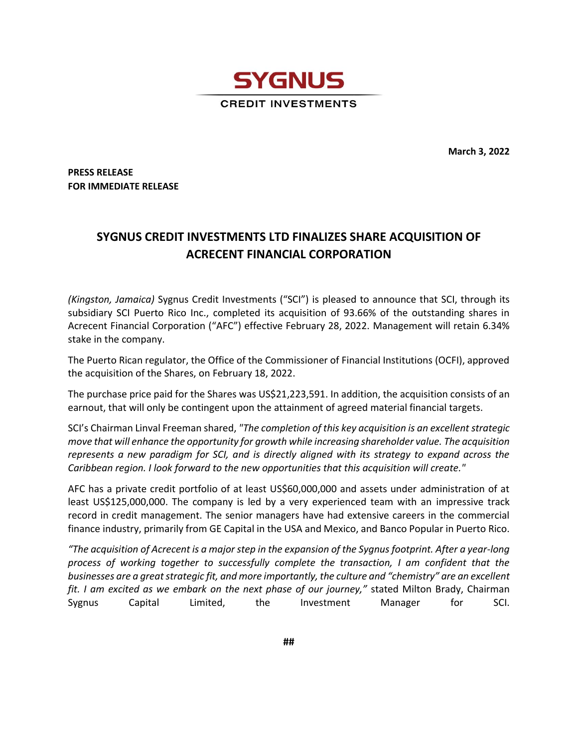

**March 3, 2022**

**PRESS RELEASE FOR IMMEDIATE RELEASE**

## **SYGNUS CREDIT INVESTMENTS LTD FINALIZES SHARE ACQUISITION OF ACRECENT FINANCIAL CORPORATION**

*(Kingston, Jamaica)* Sygnus Credit Investments ("SCI") is pleased to announce that SCI, through its subsidiary SCI Puerto Rico Inc., completed its acquisition of 93.66% of the outstanding shares in Acrecent Financial Corporation ("AFC") effective February 28, 2022. Management will retain 6.34% stake in the company.

The Puerto Rican regulator, the Office of the Commissioner of Financial Institutions (OCFI), approved the acquisition of the Shares, on February 18, 2022.

The purchase price paid for the Shares was US\$21,223,591. In addition, the acquisition consists of an earnout, that will only be contingent upon the attainment of agreed material financial targets.

SCI's Chairman Linval Freeman shared, *"The completion of this key acquisition is an excellent strategic move that will enhance the opportunity for growth while increasing shareholder value. The acquisition represents a new paradigm for SCI, and is directly aligned with its strategy to expand across the Caribbean region. I look forward to the new opportunities that this acquisition will create."* 

AFC has a private credit portfolio of at least US\$60,000,000 and assets under administration of at least US\$125,000,000. The company is led by a very experienced team with an impressive track record in credit management. The senior managers have had extensive careers in the commercial finance industry, primarily from GE Capital in the USA and Mexico, and Banco Popular in Puerto Rico.

*"The acquisition of Acrecent is a major step in the expansion of the Sygnus footprint. After a year-long process of working together to successfully complete the transaction, I am confident that the businesses are a great strategic fit, and more importantly, the culture and "chemistry" are an excellent fit. I am excited as we embark on the next phase of our journey,"* stated Milton Brady, Chairman Sygnus Capital Limited, the Investment Manager for SCI.